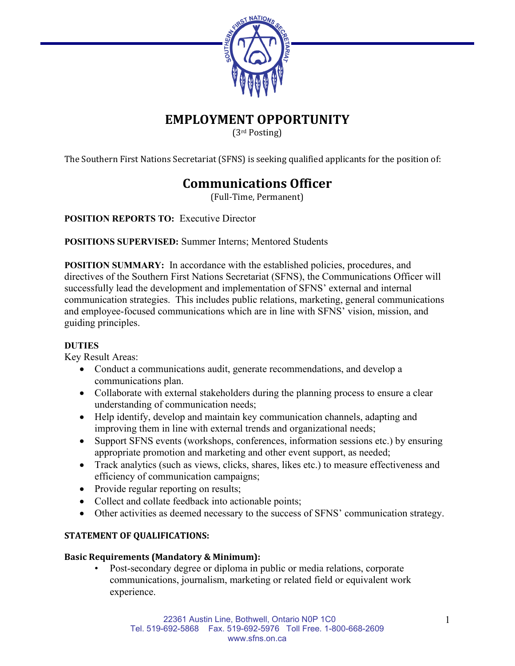

## **EMPLOYMENT OPPORTUNITY**

(3rd Posting)

The Southern First Nations Secretariat (SFNS) is seeking qualified applicants for the position of:

# **Communications Officer**

(Full-Time, Permanent)

**POSITION REPORTS TO:** Executive Director

**POSITIONS SUPERVISED:** Summer Interns; Mentored Students

**POSITION SUMMARY:** In accordance with the established policies, procedures, and directives of the Southern First Nations Secretariat (SFNS), the Communications Officer will successfully lead the development and implementation of SFNS' external and internal communication strategies. This includes public relations, marketing, general communications and employee-focused communications which are in line with SFNS' vision, mission, and guiding principles.

#### **DUTIES**

Key Result Areas:

- Conduct a communications audit, generate recommendations, and develop a communications plan.
- Collaborate with external stakeholders during the planning process to ensure a clear understanding of communication needs;
- Help identify, develop and maintain key communication channels, adapting and improving them in line with external trends and organizational needs;
- Support SFNS events (workshops, conferences, information sessions etc.) by ensuring appropriate promotion and marketing and other event support, as needed;
- Track analytics (such as views, clicks, shares, likes etc.) to measure effectiveness and efficiency of communication campaigns;
- Provide regular reporting on results;
- Collect and collate feedback into actionable points;
- Other activities as deemed necessary to the success of SFNS' communication strategy.

## **STATEMENT OF QUALIFICATIONS:**

#### **Basic Requirements (Mandatory & Minimum):**

Post-secondary degree or diploma in public or media relations, corporate communications, journalism, marketing or related field or equivalent work experience.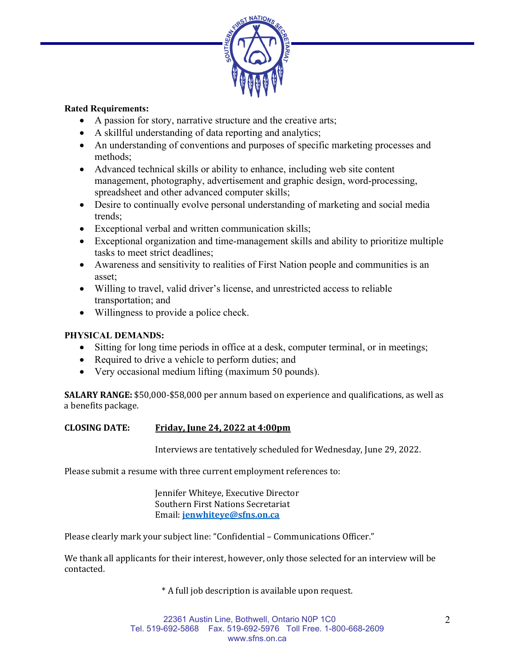

#### **Rated Requirements:**

- A passion for story, narrative structure and the creative arts;
- A skillful understanding of data reporting and analytics;
- An understanding of conventions and purposes of specific marketing processes and methods;
- Advanced technical skills or ability to enhance, including web site content management, photography, advertisement and graphic design, word-processing, spreadsheet and other advanced computer skills;
- Desire to continually evolve personal understanding of marketing and social media trends;
- Exceptional verbal and written communication skills;
- Exceptional organization and time-management skills and ability to prioritize multiple tasks to meet strict deadlines;
- Awareness and sensitivity to realities of First Nation people and communities is an asset;
- Willing to travel, valid driver's license, and unrestricted access to reliable transportation; and
- Willingness to provide a police check.

## **PHYSICAL DEMANDS:**

- Sitting for long time periods in office at a desk, computer terminal, or in meetings;
- Required to drive a vehicle to perform duties; and
- Very occasional medium lifting (maximum 50 pounds).

**SALARY RANGE:** \$50,000-\$58,000 per annum based on experience and qualifications, as well as a benefits package.

## **CLOSING DATE: Friday, June 24, 2022 at 4:00pm**

Interviews are tentatively scheduled for Wednesday, June 29, 2022.

Please submit a resume with three current employment references to:

Jennifer Whiteye, Executive Director Southern First Nations Secretariat Email: **[jenwhiteye@sfns.on.ca](mailto:jenwhiteye@sfns.on.ca)**

Please clearly mark your subject line: "Confidential – Communications Officer."

We thank all applicants for their interest, however, only those selected for an interview will be contacted.

\* A full job description is available upon request.